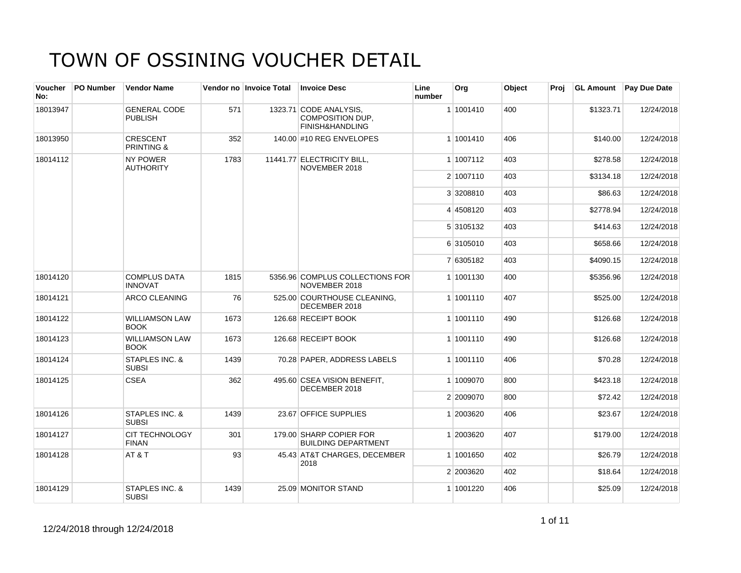| Voucher<br>No: | PO Number | <b>Vendor Name</b>                       |      | Vendor no Invoice Total | <b>Invoice Desc</b>                                                  | Line<br>number | Org       | Object | Proj |           | <b>GL Amount</b> Pay Due Date |
|----------------|-----------|------------------------------------------|------|-------------------------|----------------------------------------------------------------------|----------------|-----------|--------|------|-----------|-------------------------------|
| 18013947       |           | <b>GENERAL CODE</b><br><b>PUBLISH</b>    | 571  |                         | 1323.71 CODE ANALYSIS,<br><b>COMPOSITION DUP,</b><br>FINISH&HANDLING |                | 1 1001410 | 400    |      | \$1323.71 | 12/24/2018                    |
| 18013950       |           | <b>CRESCENT</b><br><b>PRINTING &amp;</b> | 352  |                         | 140.00 #10 REG ENVELOPES                                             |                | 1 1001410 | 406    |      | \$140.00  | 12/24/2018                    |
| 18014112       |           | <b>NY POWER</b><br><b>AUTHORITY</b>      | 1783 |                         | 11441.77 ELECTRICITY BILL,<br>NOVEMBER 2018                          |                | 1 1007112 | 403    |      | \$278.58  | 12/24/2018                    |
|                |           |                                          |      |                         |                                                                      |                | 2 1007110 | 403    |      | \$3134.18 | 12/24/2018                    |
|                |           |                                          |      |                         |                                                                      |                | 3 3208810 | 403    |      | \$86.63   | 12/24/2018                    |
|                |           |                                          |      |                         |                                                                      |                | 4 4508120 | 403    |      | \$2778.94 | 12/24/2018                    |
|                |           |                                          |      |                         |                                                                      |                | 5 3105132 | 403    |      | \$414.63  | 12/24/2018                    |
|                |           |                                          |      |                         |                                                                      |                | 6 3105010 | 403    |      | \$658.66  | 12/24/2018                    |
|                |           |                                          |      |                         |                                                                      |                | 7 6305182 | 403    |      | \$4090.15 | 12/24/2018                    |
| 18014120       |           | <b>COMPLUS DATA</b><br><b>INNOVAT</b>    | 1815 |                         | 5356.96 COMPLUS COLLECTIONS FOR<br>NOVEMBER 2018                     |                | 1 1001130 | 400    |      | \$5356.96 | 12/24/2018                    |
| 18014121       |           | ARCO CLEANING                            | 76   |                         | 525.00 COURTHOUSE CLEANING,<br>DECEMBER 2018                         |                | 1 1001110 | 407    |      | \$525.00  | 12/24/2018                    |
| 18014122       |           | <b>WILLIAMSON LAW</b><br><b>BOOK</b>     | 1673 |                         | 126.68 RECEIPT BOOK                                                  |                | 1 1001110 | 490    |      | \$126.68  | 12/24/2018                    |
| 18014123       |           | <b>WILLIAMSON LAW</b><br><b>BOOK</b>     | 1673 |                         | 126.68 RECEIPT BOOK                                                  |                | 1 1001110 | 490    |      | \$126.68  | 12/24/2018                    |
| 18014124       |           | STAPLES INC. &<br><b>SUBSI</b>           | 1439 |                         | 70.28 PAPER, ADDRESS LABELS                                          |                | 1 1001110 | 406    |      | \$70.28   | 12/24/2018                    |
| 18014125       |           | <b>CSEA</b>                              | 362  |                         | 495.60 CSEA VISION BENEFIT,<br>DECEMBER 2018                         |                | 1 1009070 | 800    |      | \$423.18  | 12/24/2018                    |
|                |           |                                          |      |                         |                                                                      |                | 2 2009070 | 800    |      | \$72.42   | 12/24/2018                    |
| 18014126       |           | STAPLES INC. &<br><b>SUBSI</b>           | 1439 |                         | 23.67 OFFICE SUPPLIES                                                |                | 1 2003620 | 406    |      | \$23.67   | 12/24/2018                    |
| 18014127       |           | <b>CIT TECHNOLOGY</b><br><b>FINAN</b>    | 301  |                         | 179.00 SHARP COPIER FOR<br><b>BUILDING DEPARTMENT</b>                |                | 1 2003620 | 407    |      | \$179.00  | 12/24/2018                    |
| 18014128       |           | AT&T                                     | 93   |                         | 45.43 AT&T CHARGES, DECEMBER<br>2018                                 |                | 1 1001650 | 402    |      | \$26.79   | 12/24/2018                    |
|                |           |                                          |      |                         |                                                                      |                | 2 2003620 | 402    |      | \$18.64   | 12/24/2018                    |
| 18014129       |           | STAPLES INC. &<br><b>SUBSI</b>           | 1439 |                         | 25.09 MONITOR STAND                                                  |                | 1 1001220 | 406    |      | \$25.09   | 12/24/2018                    |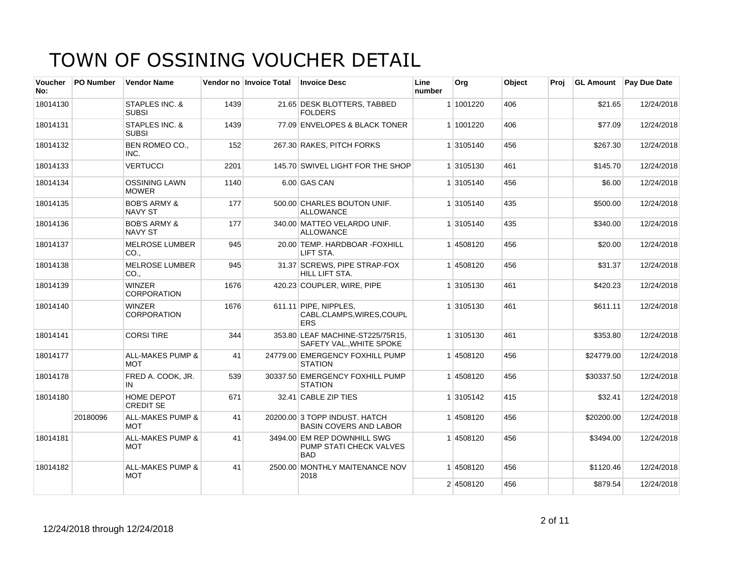| <b>Voucher</b><br>No: | <b>PO Number</b> | <b>Vendor Name</b>                        |      | Vendor no Invoice Total | <b>Invoice Desc</b>                                                  | Line<br>number | Org       | Object | Proi | <b>GL Amount</b> | Pay Due Date |
|-----------------------|------------------|-------------------------------------------|------|-------------------------|----------------------------------------------------------------------|----------------|-----------|--------|------|------------------|--------------|
| 18014130              |                  | <b>STAPLES INC. &amp;</b><br><b>SUBSI</b> | 1439 |                         | 21.65 DESK BLOTTERS, TABBED<br><b>FOLDERS</b>                        |                | 1 1001220 | 406    |      | \$21.65          | 12/24/2018   |
| 18014131              |                  | <b>STAPLES INC. &amp;</b><br><b>SUBSI</b> | 1439 |                         | 77.09 ENVELOPES & BLACK TONER                                        |                | 1 1001220 | 406    |      | \$77.09          | 12/24/2018   |
| 18014132              |                  | <b>BEN ROMEO CO.,</b><br>INC.             | 152  |                         | 267.30 RAKES, PITCH FORKS                                            |                | 1 3105140 | 456    |      | \$267.30         | 12/24/2018   |
| 18014133              |                  | <b>VERTUCCI</b>                           | 2201 |                         | 145.70 SWIVEL LIGHT FOR THE SHOP                                     |                | 1 3105130 | 461    |      | \$145.70         | 12/24/2018   |
| 18014134              |                  | <b>OSSINING LAWN</b><br><b>MOWER</b>      | 1140 |                         | 6.00 GAS CAN                                                         |                | 1 3105140 | 456    |      | \$6.00           | 12/24/2018   |
| 18014135              |                  | <b>BOB'S ARMY &amp;</b><br><b>NAVY ST</b> | 177  |                         | 500.00 CHARLES BOUTON UNIF.<br><b>ALLOWANCE</b>                      |                | 1 3105140 | 435    |      | \$500.00         | 12/24/2018   |
| 18014136              |                  | <b>BOB'S ARMY &amp;</b><br><b>NAVY ST</b> | 177  |                         | 340.00 MATTEO VELARDO UNIF.<br><b>ALLOWANCE</b>                      |                | 1 3105140 | 435    |      | \$340.00         | 12/24/2018   |
| 18014137              |                  | <b>MELROSE LUMBER</b><br>CO.,             | 945  |                         | 20.00 TEMP. HARDBOAR -FOXHILL<br>LIFT STA.                           |                | 14508120  | 456    |      | \$20.00          | 12/24/2018   |
| 18014138              |                  | <b>MELROSE LUMBER</b><br>CO.,             | 945  |                         | 31.37 SCREWS, PIPE STRAP-FOX<br>HILL LIFT STA.                       |                | 1 4508120 | 456    |      | \$31.37          | 12/24/2018   |
| 18014139              |                  | <b>WINZER</b><br><b>CORPORATION</b>       | 1676 |                         | 420.23 COUPLER, WIRE, PIPE                                           |                | 1 3105130 | 461    |      | \$420.23         | 12/24/2018   |
| 18014140              |                  | <b>WINZER</b><br><b>CORPORATION</b>       | 1676 |                         | 611.11 PIPE, NIPPLES,<br>CABL.CLAMPS, WIRES, COUPL<br><b>ERS</b>     |                | 1 3105130 | 461    |      | \$611.11         | 12/24/2018   |
| 18014141              |                  | <b>CORSI TIRE</b>                         | 344  |                         | 353.80 LEAF MACHINE-ST225/75R15,<br>SAFETY VAL., WHITE SPOKE         |                | 1 3105130 | 461    |      | \$353.80         | 12/24/2018   |
| 18014177              |                  | <b>ALL-MAKES PUMP &amp;</b><br><b>MOT</b> | 41   |                         | 24779.00 EMERGENCY FOXHILL PUMP<br><b>STATION</b>                    |                | 1 4508120 | 456    |      | \$24779.00       | 12/24/2018   |
| 18014178              |                  | FRED A. COOK, JR.<br>IN                   | 539  |                         | 30337.50 EMERGENCY FOXHILL PUMP<br><b>STATION</b>                    |                | 14508120  | 456    |      | \$30337.50       | 12/24/2018   |
| 18014180              |                  | HOME DEPOT<br><b>CREDIT SE</b>            | 671  |                         | 32.41 CABLE ZIP TIES                                                 |                | 1 3105142 | 415    |      | \$32.41          | 12/24/2018   |
|                       | 20180096         | <b>ALL-MAKES PUMP &amp;</b><br><b>MOT</b> | 41   |                         | 20200.00 3 TOPP INDUST, HATCH<br><b>BASIN COVERS AND LABOR</b>       |                | 14508120  | 456    |      | \$20200.00       | 12/24/2018   |
| 18014181              |                  | <b>ALL-MAKES PUMP &amp;</b><br>MOT        | 41   |                         | 3494.00 EM REP DOWNHILL SWG<br>PUMP STATI CHECK VALVES<br><b>BAD</b> |                | 14508120  | 456    |      | \$3494.00        | 12/24/2018   |
| 18014182              |                  | <b>ALL-MAKES PUMP &amp;</b><br><b>MOT</b> | 41   |                         | 2500.00 MONTHLY MAITENANCE NOV<br>2018                               |                | 14508120  | 456    |      | \$1120.46        | 12/24/2018   |
|                       |                  |                                           |      |                         |                                                                      |                | 2 4508120 | 456    |      | \$879.54         | 12/24/2018   |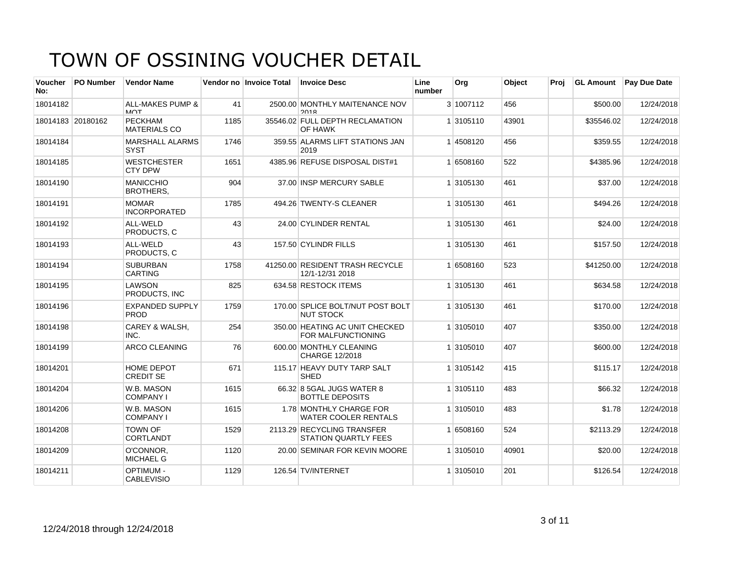| <b>Voucher</b><br>No: | <b>PO Number</b>  | <b>Vendor Name</b>                             |      | Vendor no Invoice Total | <b>Invoice Desc</b>                                       | Line<br>number | Org       | Object | Proi | <b>GL Amount</b> | Pay Due Date |
|-----------------------|-------------------|------------------------------------------------|------|-------------------------|-----------------------------------------------------------|----------------|-----------|--------|------|------------------|--------------|
| 18014182              |                   | <b>ALL-MAKES PUMP &amp;</b><br>M <sub>AT</sub> | 41   |                         | 2500.00 MONTHLY MAITENANCE NOV<br>2018                    |                | 3 1007112 | 456    |      | \$500.00         | 12/24/2018   |
|                       | 18014183 20180162 | <b>PECKHAM</b><br><b>MATERIALS CO</b>          | 1185 |                         | 35546.02 FULL DEPTH RECLAMATION<br>OF HAWK                |                | 1 3105110 | 43901  |      | \$35546.02       | 12/24/2018   |
| 18014184              |                   | <b>MARSHALL ALARMS</b><br><b>SYST</b>          | 1746 |                         | 359.55 ALARMS LIFT STATIONS JAN<br>2019                   |                | 14508120  | 456    |      | \$359.55         | 12/24/2018   |
| 18014185              |                   | <b>WESTCHESTER</b><br><b>CTY DPW</b>           | 1651 |                         | 4385.96 REFUSE DISPOSAL DIST#1                            |                | 1 6508160 | 522    |      | \$4385.96        | 12/24/2018   |
| 18014190              |                   | <b>MANICCHIO</b><br><b>BROTHERS,</b>           | 904  |                         | 37.00 INSP MERCURY SABLE                                  |                | 1 3105130 | 461    |      | \$37.00          | 12/24/2018   |
| 18014191              |                   | <b>MOMAR</b><br><b>INCORPORATED</b>            | 1785 |                         | 494.26 TWENTY-S CLEANER                                   |                | 1 3105130 | 461    |      | \$494.26         | 12/24/2018   |
| 18014192              |                   | ALL-WELD<br>PRODUCTS. C                        | 43   |                         | 24.00 CYLINDER RENTAL                                     |                | 1 3105130 | 461    |      | \$24.00          | 12/24/2018   |
| 18014193              |                   | ALL-WELD<br>PRODUCTS, C                        | 43   |                         | 157.50 CYLINDR FILLS                                      |                | 1 3105130 | 461    |      | \$157.50         | 12/24/2018   |
| 18014194              |                   | <b>SUBURBAN</b><br><b>CARTING</b>              | 1758 |                         | 41250.00 RESIDENT TRASH RECYCLE<br>12/1-12/31 2018        |                | 1 6508160 | 523    |      | \$41250.00       | 12/24/2018   |
| 18014195              |                   | <b>LAWSON</b><br><b>PRODUCTS. INC</b>          | 825  |                         | 634.58 RESTOCK ITEMS                                      |                | 1 3105130 | 461    |      | \$634.58         | 12/24/2018   |
| 18014196              |                   | <b>EXPANDED SUPPLY</b><br><b>PROD</b>          | 1759 |                         | 170.00 SPLICE BOLT/NUT POST BOLT<br><b>NUT STOCK</b>      |                | 1 3105130 | 461    |      | \$170.00         | 12/24/2018   |
| 18014198              |                   | CAREY & WALSH,<br>INC.                         | 254  |                         | 350.00 HEATING AC UNIT CHECKED<br>FOR MALFUNCTIONING      |                | 1 3105010 | 407    |      | \$350.00         | 12/24/2018   |
| 18014199              |                   | <b>ARCO CLEANING</b>                           | 76   |                         | 600.00 MONTHLY CLEANING<br>CHARGE 12/2018                 |                | 1 3105010 | 407    |      | \$600.00         | 12/24/2018   |
| 18014201              |                   | <b>HOME DEPOT</b><br><b>CREDIT SE</b>          | 671  |                         | 115.17 HEAVY DUTY TARP SALT<br><b>SHED</b>                |                | 1 3105142 | 415    |      | \$115.17         | 12/24/2018   |
| 18014204              |                   | W.B. MASON<br><b>COMPANY I</b>                 | 1615 |                         | 66.32 8 5GAL JUGS WATER 8<br><b>BOTTLE DEPOSITS</b>       |                | 1 3105110 | 483    |      | \$66.32          | 12/24/2018   |
| 18014206              |                   | W.B. MASON<br><b>COMPANY I</b>                 | 1615 |                         | 1.78 MONTHLY CHARGE FOR<br><b>WATER COOLER RENTALS</b>    |                | 1 3105010 | 483    |      | \$1.78           | 12/24/2018   |
| 18014208              |                   | <b>TOWN OF</b><br><b>CORTLANDT</b>             | 1529 |                         | 2113.29 RECYCLING TRANSFER<br><b>STATION QUARTLY FEES</b> |                | 1 6508160 | 524    |      | \$2113.29        | 12/24/2018   |
| 18014209              |                   | O'CONNOR,<br><b>MICHAEL G</b>                  | 1120 |                         | 20.00 SEMINAR FOR KEVIN MOORE                             |                | 1 3105010 | 40901  |      | \$20.00          | 12/24/2018   |
| 18014211              |                   | <b>OPTIMUM -</b><br><b>CABLEVISIO</b>          | 1129 |                         | 126.54 TV/INTERNET                                        |                | 1 3105010 | 201    |      | \$126.54         | 12/24/2018   |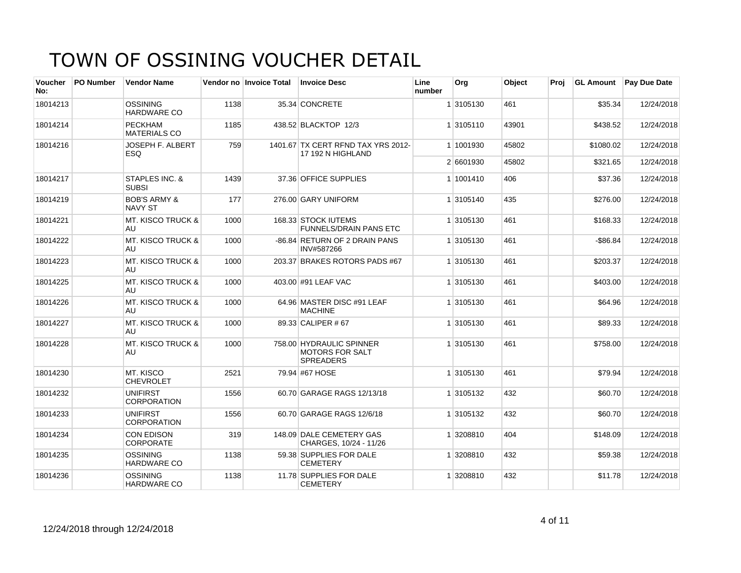| Voucher<br>No: | <b>PO Number</b> | <b>Vendor Name</b>                        |      | Vendor no Invoice Total | <b>Invoice Desc</b>                                                    | Line<br>number | Org       | Object | Proi | <b>GL Amount</b> | <b>Pay Due Date</b> |
|----------------|------------------|-------------------------------------------|------|-------------------------|------------------------------------------------------------------------|----------------|-----------|--------|------|------------------|---------------------|
| 18014213       |                  | <b>OSSINING</b><br><b>HARDWARE CO</b>     | 1138 |                         | 35.34 CONCRETE                                                         |                | 1 3105130 | 461    |      | \$35.34          | 12/24/2018          |
| 18014214       |                  | <b>PECKHAM</b><br><b>MATERIALS CO</b>     | 1185 |                         | 438.52 BLACKTOP 12/3                                                   |                | 1 3105110 | 43901  |      | \$438.52         | 12/24/2018          |
| 18014216       |                  | <b>JOSEPH F. ALBERT</b><br>ESQ.           | 759  |                         | 1401.67 TX CERT RFND TAX YRS 2012-<br>17 192 N HIGHLAND                |                | 1 1001930 | 45802  |      | \$1080.02        | 12/24/2018          |
|                |                  |                                           |      |                         |                                                                        |                | 2 6601930 | 45802  |      | \$321.65         | 12/24/2018          |
| 18014217       |                  | STAPLES INC. &<br><b>SUBSI</b>            | 1439 |                         | 37.36 OFFICE SUPPLIES                                                  |                | 1 1001410 | 406    |      | \$37.36          | 12/24/2018          |
| 18014219       |                  | <b>BOB'S ARMY &amp;</b><br><b>NAVY ST</b> | 177  |                         | 276.00 GARY UNIFORM                                                    |                | 1 3105140 | 435    |      | \$276.00         | 12/24/2018          |
| 18014221       |                  | <b>MT. KISCO TRUCK &amp;</b><br>AU.       | 1000 |                         | 168.33 STOCK IUTEMS<br><b>FUNNELS/DRAIN PANS ETC</b>                   |                | 1 3105130 | 461    |      | \$168.33         | 12/24/2018          |
| 18014222       |                  | <b>MT. KISCO TRUCK &amp;</b><br>AU        | 1000 |                         | -86.84 RETURN OF 2 DRAIN PANS<br>INV#587266                            |                | 1 3105130 | 461    |      | $-$ \$86.84      | 12/24/2018          |
| 18014223       |                  | <b>MT. KISCO TRUCK &amp;</b><br>AU        | 1000 |                         | 203.37 BRAKES ROTORS PADS #67                                          |                | 1 3105130 | 461    |      | \$203.37         | 12/24/2018          |
| 18014225       |                  | <b>MT. KISCO TRUCK &amp;</b><br>AU.       | 1000 |                         | 403.00 #91 LEAF VAC                                                    |                | 1 3105130 | 461    |      | \$403.00         | 12/24/2018          |
| 18014226       |                  | <b>MT. KISCO TRUCK &amp;</b><br>AU        | 1000 |                         | 64.96 MASTER DISC #91 LEAF<br><b>MACHINE</b>                           |                | 1 3105130 | 461    |      | \$64.96          | 12/24/2018          |
| 18014227       |                  | <b>MT. KISCO TRUCK &amp;</b><br>AU        | 1000 |                         | 89.33 CALIPER # 67                                                     |                | 1 3105130 | 461    |      | \$89.33          | 12/24/2018          |
| 18014228       |                  | <b>MT. KISCO TRUCK &amp;</b><br>AU        | 1000 |                         | 758.00 HYDRAULIC SPINNER<br><b>MOTORS FOR SALT</b><br><b>SPREADERS</b> |                | 1 3105130 | 461    |      | \$758.00         | 12/24/2018          |
| 18014230       |                  | MT. KISCO<br><b>CHEVROLET</b>             | 2521 |                         | 79.94 #67 HOSE                                                         |                | 1 3105130 | 461    |      | \$79.94          | 12/24/2018          |
| 18014232       |                  | <b>UNIFIRST</b><br><b>CORPORATION</b>     | 1556 |                         | 60.70 GARAGE RAGS 12/13/18                                             |                | 1 3105132 | 432    |      | \$60.70          | 12/24/2018          |
| 18014233       |                  | <b>UNIFIRST</b><br><b>CORPORATION</b>     | 1556 |                         | 60.70 GARAGE RAGS 12/6/18                                              |                | 1 3105132 | 432    |      | \$60.70          | 12/24/2018          |
| 18014234       |                  | <b>CON EDISON</b><br><b>CORPORATE</b>     | 319  |                         | 148.09 DALE CEMETERY GAS<br>CHARGES, 10/24 - 11/26                     |                | 1 3208810 | 404    |      | \$148.09         | 12/24/2018          |
| 18014235       |                  | OSSINING<br>HARDWARE CO                   | 1138 |                         | 59.38 SUPPLIES FOR DALE<br><b>CEMETERY</b>                             |                | 1 3208810 | 432    |      | \$59.38          | 12/24/2018          |
| 18014236       |                  | <b>OSSINING</b><br><b>HARDWARE CO</b>     | 1138 |                         | 11.78 SUPPLIES FOR DALE<br><b>CEMETERY</b>                             |                | 1 3208810 | 432    |      | \$11.78          | 12/24/2018          |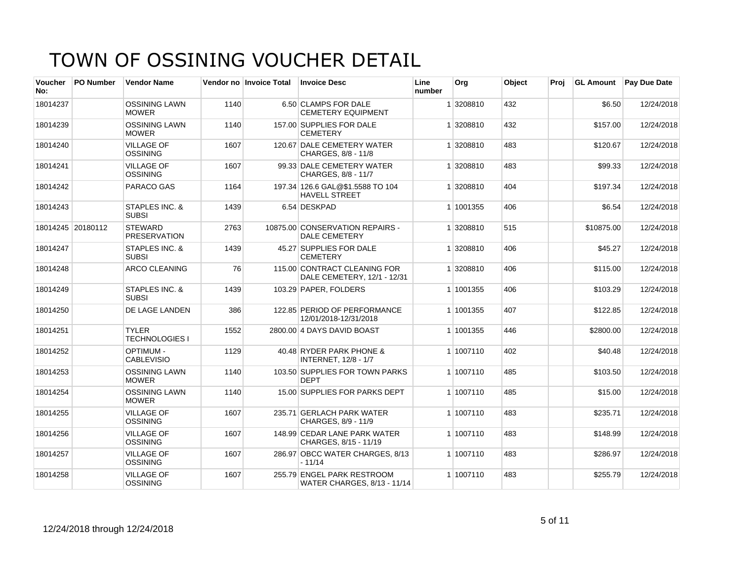| <b>Voucher</b><br>No: | <b>PO Number</b>  | <b>Vendor Name</b>                        |      | Vendor no Invoice Total | <b>Invoice Desc</b>                                         | Line<br>number | Org       | Object | Proi | <b>GL Amount</b> | <b>Pay Due Date</b> |
|-----------------------|-------------------|-------------------------------------------|------|-------------------------|-------------------------------------------------------------|----------------|-----------|--------|------|------------------|---------------------|
| 18014237              |                   | <b>OSSINING LAWN</b><br><b>MOWER</b>      | 1140 |                         | 6.50 CLAMPS FOR DALE<br><b>CEMETERY EQUIPMENT</b>           |                | 1 3208810 | 432    |      | \$6.50           | 12/24/2018          |
| 18014239              |                   | <b>OSSINING LAWN</b><br><b>MOWER</b>      | 1140 |                         | 157.00 SUPPLIES FOR DALE<br><b>CEMETERY</b>                 |                | 1 3208810 | 432    |      | \$157.00         | 12/24/2018          |
| 18014240              |                   | <b>VILLAGE OF</b><br>OSSINING             | 1607 |                         | 120.67 DALE CEMETERY WATER<br>CHARGES, 8/8 - 11/8           |                | 1 3208810 | 483    |      | \$120.67         | 12/24/2018          |
| 18014241              |                   | <b>VILLAGE OF</b><br><b>OSSINING</b>      | 1607 |                         | 99.33 DALE CEMETERY WATER<br>CHARGES, 8/8 - 11/7            |                | 1 3208810 | 483    |      | \$99.33          | 12/24/2018          |
| 18014242              |                   | PARACO GAS                                | 1164 |                         | 197.34 126.6 GAL@\$1.5588 TO 104<br><b>HAVELL STREET</b>    |                | 1 3208810 | 404    |      | \$197.34         | 12/24/2018          |
| 18014243              |                   | <b>STAPLES INC. &amp;</b><br><b>SUBSI</b> | 1439 |                         | 6.54 DESKPAD                                                |                | 1 1001355 | 406    |      | \$6.54           | 12/24/2018          |
|                       | 18014245 20180112 | <b>STEWARD</b><br><b>PRESERVATION</b>     | 2763 |                         | 10875.00 CONSERVATION REPAIRS -<br><b>DALE CEMETERY</b>     |                | 1 3208810 | 515    |      | \$10875.00       | 12/24/2018          |
| 18014247              |                   | <b>STAPLES INC. &amp;</b><br><b>SUBSI</b> | 1439 |                         | 45.27 SUPPLIES FOR DALE<br><b>CEMETERY</b>                  |                | 1 3208810 | 406    |      | \$45.27          | 12/24/2018          |
| 18014248              |                   | <b>ARCO CLEANING</b>                      | 76   |                         | 115.00 CONTRACT CLEANING FOR<br>DALE CEMETERY, 12/1 - 12/31 |                | 1 3208810 | 406    |      | \$115.00         | 12/24/2018          |
| 18014249              |                   | STAPLES INC. &<br><b>SUBSI</b>            | 1439 |                         | 103.29 PAPER, FOLDERS                                       |                | 1 1001355 | 406    |      | \$103.29         | 12/24/2018          |
| 18014250              |                   | DE LAGE LANDEN                            | 386  |                         | 122.85 PERIOD OF PERFORMANCE<br>12/01/2018-12/31/2018       |                | 1 1001355 | 407    |      | \$122.85         | 12/24/2018          |
| 18014251              |                   | <b>TYLER</b><br><b>TECHNOLOGIES I</b>     | 1552 |                         | 2800.00 4 DAYS DAVID BOAST                                  |                | 1 1001355 | 446    |      | \$2800.00        | 12/24/2018          |
| 18014252              |                   | OPTIMUM -<br><b>CABLEVISIO</b>            | 1129 |                         | 40.48 RYDER PARK PHONE &<br><b>INTERNET, 12/8 - 1/7</b>     |                | 1 1007110 | 402    |      | \$40.48          | 12/24/2018          |
| 18014253              |                   | <b>OSSINING LAWN</b><br><b>MOWER</b>      | 1140 |                         | 103.50 SUPPLIES FOR TOWN PARKS<br><b>DEPT</b>               |                | 1 1007110 | 485    |      | \$103.50         | 12/24/2018          |
| 18014254              |                   | <b>OSSINING LAWN</b><br><b>MOWER</b>      | 1140 |                         | 15.00 SUPPLIES FOR PARKS DEPT                               |                | 1 1007110 | 485    |      | \$15.00          | 12/24/2018          |
| 18014255              |                   | <b>VILLAGE OF</b><br>OSSINING             | 1607 |                         | 235.71 GERLACH PARK WATER<br>CHARGES, 8/9 - 11/9            |                | 1 1007110 | 483    |      | \$235.71         | 12/24/2018          |
| 18014256              |                   | <b>VILLAGE OF</b><br>OSSINING             | 1607 |                         | 148.99 CEDAR LANE PARK WATER<br>CHARGES, 8/15 - 11/19       |                | 1 1007110 | 483    |      | \$148.99         | 12/24/2018          |
| 18014257              |                   | <b>VILLAGE OF</b><br>OSSINING             | 1607 |                         | 286.97 OBCC WATER CHARGES, 8/13<br>$-11/14$                 |                | 1 1007110 | 483    |      | \$286.97         | 12/24/2018          |
| 18014258              |                   | <b>VILLAGE OF</b><br><b>OSSINING</b>      | 1607 |                         | 255.79 ENGEL PARK RESTROOM<br>WATER CHARGES, 8/13 - 11/14   |                | 1 1007110 | 483    |      | \$255.79         | 12/24/2018          |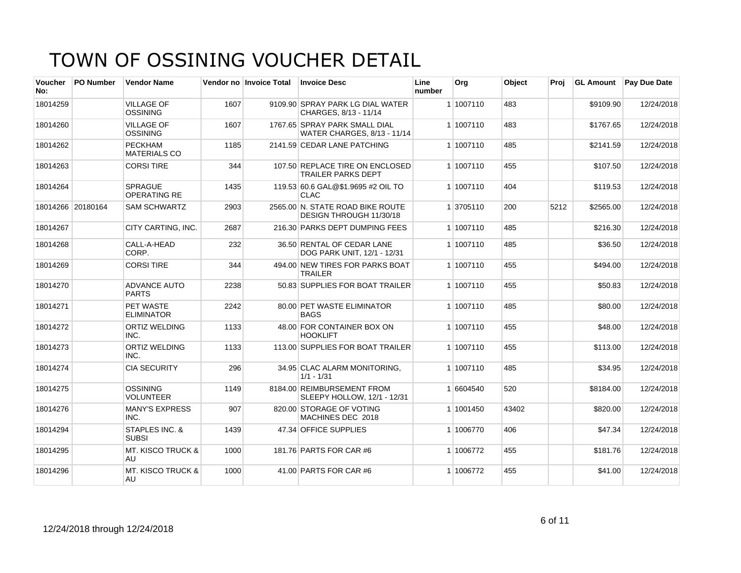| <b>Voucher</b><br>No: | <b>PO Number</b>  | <b>Vendor Name</b>                        |      | Vendor no Invoice Total | <b>Invoice Desc</b>                                          | Line<br>number | Org       | Object | Proj | <b>GL Amount</b> | <b>Pay Due Date</b> |
|-----------------------|-------------------|-------------------------------------------|------|-------------------------|--------------------------------------------------------------|----------------|-----------|--------|------|------------------|---------------------|
| 18014259              |                   | <b>VILLAGE OF</b><br><b>OSSINING</b>      | 1607 |                         | 9109.90 SPRAY PARK LG DIAL WATER<br>CHARGES, 8/13 - 11/14    |                | 1 1007110 | 483    |      | \$9109.90        | 12/24/2018          |
| 18014260              |                   | <b>VILLAGE OF</b><br>OSSINING             | 1607 |                         | 1767.65 SPRAY PARK SMALL DIAL<br>WATER CHARGES, 8/13 - 11/14 |                | 1 1007110 | 483    |      | \$1767.65        | 12/24/2018          |
| 18014262              |                   | <b>PECKHAM</b><br><b>MATERIALS CO</b>     | 1185 |                         | 2141.59 CEDAR LANE PATCHING                                  |                | 1 1007110 | 485    |      | \$2141.59        | 12/24/2018          |
| 18014263              |                   | <b>CORSI TIRE</b>                         | 344  |                         | 107.50 REPLACE TIRE ON ENCLOSED<br><b>TRAILER PARKS DEPT</b> |                | 1 1007110 | 455    |      | \$107.50         | 12/24/2018          |
| 18014264              |                   | <b>SPRAGUE</b><br>OPERATING RE            | 1435 |                         | 119.53 60.6 GAL@\$1.9695 #2 OIL TO<br><b>CLAC</b>            |                | 1 1007110 | 404    |      | \$119.53         | 12/24/2018          |
|                       | 18014266 20180164 | <b>SAM SCHWARTZ</b>                       | 2903 |                         | 2565.00 N. STATE ROAD BIKE ROUTE<br>DESIGN THROUGH 11/30/18  |                | 1 3705110 | 200    | 5212 | \$2565.00        | 12/24/2018          |
| 18014267              |                   | <b>CITY CARTING, INC.</b>                 | 2687 |                         | 216.30 PARKS DEPT DUMPING FEES                               |                | 1 1007110 | 485    |      | \$216.30         | 12/24/2018          |
| 18014268              |                   | CALL-A-HEAD<br>CORP.                      | 232  |                         | 36.50 RENTAL OF CEDAR LANE<br>DOG PARK UNIT, 12/1 - 12/31    |                | 1 1007110 | 485    |      | \$36.50          | 12/24/2018          |
| 18014269              |                   | <b>CORSI TIRE</b>                         | 344  |                         | 494.00 NEW TIRES FOR PARKS BOAT<br><b>TRAILER</b>            |                | 1 1007110 | 455    |      | \$494.00         | 12/24/2018          |
| 18014270              |                   | <b>ADVANCE AUTO</b><br><b>PARTS</b>       | 2238 |                         | 50.83 SUPPLIES FOR BOAT TRAILER                              |                | 1 1007110 | 455    |      | \$50.83          | 12/24/2018          |
| 18014271              |                   | PET WASTE<br><b>ELIMINATOR</b>            | 2242 |                         | 80.00 PET WASTE ELIMINATOR<br><b>BAGS</b>                    |                | 1 1007110 | 485    |      | \$80.00          | 12/24/2018          |
| 18014272              |                   | <b>ORTIZ WELDING</b><br>INC.              | 1133 |                         | 48.00 FOR CONTAINER BOX ON<br><b>HOOKLIFT</b>                |                | 1 1007110 | 455    |      | \$48.00          | 12/24/2018          |
| 18014273              |                   | <b>ORTIZ WELDING</b><br>INC.              | 1133 |                         | 113.00 SUPPLIES FOR BOAT TRAILER                             |                | 1 1007110 | 455    |      | \$113.00         | 12/24/2018          |
| 18014274              |                   | <b>CIA SECURITY</b>                       | 296  |                         | 34.95 CLAC ALARM MONITORING,<br>$1/1 - 1/31$                 |                | 1 1007110 | 485    |      | \$34.95          | 12/24/2018          |
| 18014275              |                   | OSSINING<br><b>VOLUNTEER</b>              | 1149 |                         | 8184.00 REIMBURSEMENT FROM<br>SLEEPY HOLLOW, 12/1 - 12/31    |                | 1 6604540 | 520    |      | \$8184.00        | 12/24/2018          |
| 18014276              |                   | <b>MANY'S EXPRESS</b><br>INC.             | 907  |                         | 820.00 STORAGE OF VOTING<br>MACHINES DEC 2018                |                | 1 1001450 | 43402  |      | \$820.00         | 12/24/2018          |
| 18014294              |                   | <b>STAPLES INC. &amp;</b><br><b>SUBSI</b> | 1439 |                         | 47.34 OFFICE SUPPLIES                                        |                | 1 1006770 | 406    |      | \$47.34          | 12/24/2018          |
| 18014295              |                   | <b>MT. KISCO TRUCK &amp;</b><br>AU        | 1000 |                         | 181.76 PARTS FOR CAR #6                                      |                | 1 1006772 | 455    |      | \$181.76         | 12/24/2018          |
| 18014296              |                   | <b>MT. KISCO TRUCK &amp;</b><br>AU        | 1000 |                         | 41.00 PARTS FOR CAR #6                                       |                | 1 1006772 | 455    |      | \$41.00          | 12/24/2018          |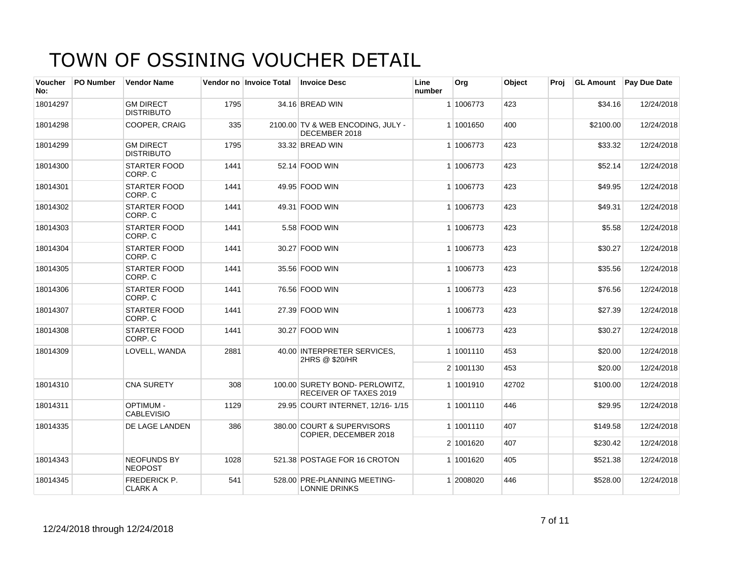| Voucher<br>No: | <b>PO Number</b> | <b>Vendor Name</b>                    |      | Vendor no Invoice Total | <b>Invoice Desc</b>                                             | Line<br>number | <b>Org</b> | Object | Proi | <b>GL Amount</b> | <b>Pay Due Date</b> |
|----------------|------------------|---------------------------------------|------|-------------------------|-----------------------------------------------------------------|----------------|------------|--------|------|------------------|---------------------|
| 18014297       |                  | <b>GM DIRECT</b><br><b>DISTRIBUTO</b> | 1795 |                         | 34.16 BREAD WIN                                                 |                | 1 1006773  | 423    |      | \$34.16          | 12/24/2018          |
| 18014298       |                  | COOPER, CRAIG                         | 335  |                         | 2100.00 TV & WEB ENCODING, JULY -<br>DECEMBER 2018              |                | 1 1001650  | 400    |      | \$2100.00        | 12/24/2018          |
| 18014299       |                  | <b>GM DIRECT</b><br><b>DISTRIBUTO</b> | 1795 |                         | 33.32 BREAD WIN                                                 |                | 1 1006773  | 423    |      | \$33.32          | 12/24/2018          |
| 18014300       |                  | <b>STARTER FOOD</b><br>CORP. C        | 1441 |                         | 52.14 FOOD WIN                                                  |                | 1 1006773  | 423    |      | \$52.14          | 12/24/2018          |
| 18014301       |                  | <b>STARTER FOOD</b><br>CORP. C        | 1441 |                         | 49.95 FOOD WIN                                                  |                | 1 1006773  | 423    |      | \$49.95          | 12/24/2018          |
| 18014302       |                  | <b>STARTER FOOD</b><br>CORP. C        | 1441 |                         | 49.31 FOOD WIN                                                  |                | 1 1006773  | 423    |      | \$49.31          | 12/24/2018          |
| 18014303       |                  | <b>STARTER FOOD</b><br>CORP. C        | 1441 |                         | 5.58 FOOD WIN                                                   |                | 1 1006773  | 423    |      | \$5.58           | 12/24/2018          |
| 18014304       |                  | STARTER FOOD<br>CORP. C               | 1441 |                         | 30.27 FOOD WIN                                                  |                | 1 1006773  | 423    |      | \$30.27          | 12/24/2018          |
| 18014305       |                  | <b>STARTER FOOD</b><br>CORP. C        | 1441 |                         | 35.56 FOOD WIN                                                  |                | 1 1006773  | 423    |      | \$35.56          | 12/24/2018          |
| 18014306       |                  | <b>STARTER FOOD</b><br>CORP. C        | 1441 |                         | 76.56 FOOD WIN                                                  |                | 1 1006773  | 423    |      | \$76.56          | 12/24/2018          |
| 18014307       |                  | <b>STARTER FOOD</b><br>CORP. C        | 1441 |                         | 27.39 FOOD WIN                                                  |                | 1 1006773  | 423    |      | \$27.39          | 12/24/2018          |
| 18014308       |                  | <b>STARTER FOOD</b><br>CORP. C        | 1441 |                         | 30.27 FOOD WIN                                                  |                | 1 1006773  | 423    |      | \$30.27          | 12/24/2018          |
| 18014309       |                  | LOVELL, WANDA                         | 2881 |                         | 40.00 INTERPRETER SERVICES,<br>2HRS @ \$20/HR                   |                | 1 1001110  | 453    |      | \$20.00          | 12/24/2018          |
|                |                  |                                       |      |                         |                                                                 |                | 2 1001130  | 453    |      | \$20.00          | 12/24/2018          |
| 18014310       |                  | <b>CNA SURETY</b>                     | 308  |                         | 100.00 SURETY BOND- PERLOWITZ,<br><b>RECEIVER OF TAXES 2019</b> |                | 1 1001910  | 42702  |      | \$100.00         | 12/24/2018          |
| 18014311       |                  | <b>OPTIMUM -</b><br><b>CABLEVISIO</b> | 1129 |                         | 29.95 COURT INTERNET, 12/16-1/15                                |                | 1 1001110  | 446    |      | \$29.95          | 12/24/2018          |
| 18014335       |                  | DE LAGE LANDEN                        | 386  |                         | 380.00 COURT & SUPERVISORS<br>COPIER, DECEMBER 2018             |                | 1 1001110  | 407    |      | \$149.58         | 12/24/2018          |
|                |                  |                                       |      |                         |                                                                 |                | 2 1001620  | 407    |      | \$230.42         | 12/24/2018          |
| 18014343       |                  | <b>NEOFUNDS BY</b><br><b>NEOPOST</b>  | 1028 |                         | 521.38 POSTAGE FOR 16 CROTON                                    |                | 1 1001620  | 405    |      | \$521.38         | 12/24/2018          |
| 18014345       |                  | FREDERICK P.<br><b>CLARK A</b>        | 541  |                         | 528.00 PRE-PLANNING MEETING-<br>LONNIE DRINKS                   |                | 1 2008020  | 446    |      | \$528.00         | 12/24/2018          |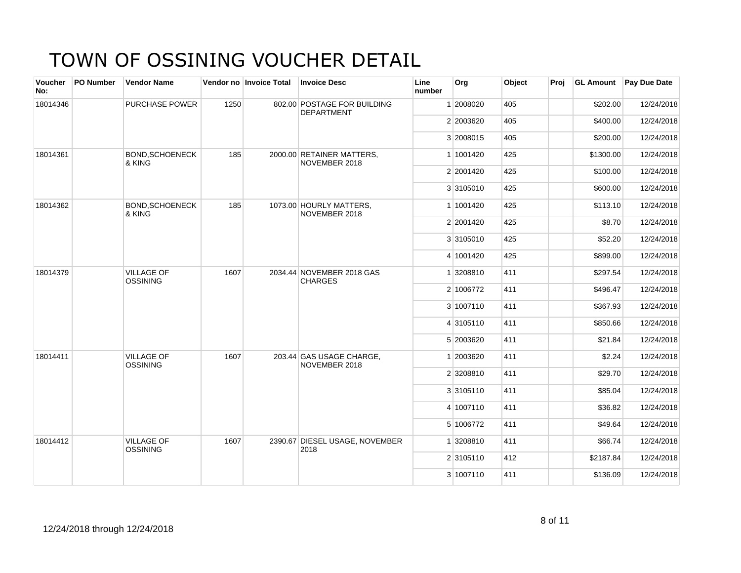| Voucher<br>No: | PO Number | <b>Vendor Name</b>                   |      | Vendor no Invoice Total | <b>Invoice Desc</b>                              | Line<br>number | Org       | Object | Proj | <b>GL Amount</b> | Pay Due Date |
|----------------|-----------|--------------------------------------|------|-------------------------|--------------------------------------------------|----------------|-----------|--------|------|------------------|--------------|
| 18014346       |           | <b>PURCHASE POWER</b>                | 1250 |                         | 802.00 POSTAGE FOR BUILDING<br><b>DEPARTMENT</b> |                | 1 2008020 | 405    |      | \$202.00         | 12/24/2018   |
|                |           |                                      |      |                         |                                                  |                | 2 2003620 | 405    |      | \$400.00         | 12/24/2018   |
|                |           |                                      |      |                         |                                                  |                | 3 2008015 | 405    |      | \$200.00         | 12/24/2018   |
| 18014361       |           | <b>BOND.SCHOENECK</b><br>& KING      | 185  |                         | 2000.00 RETAINER MATTERS,<br>NOVEMBER 2018       |                | 1 1001420 | 425    |      | \$1300.00        | 12/24/2018   |
|                |           |                                      |      |                         |                                                  |                | 2 2001420 | 425    |      | \$100.00         | 12/24/2018   |
|                |           |                                      |      |                         |                                                  |                | 3 3105010 | 425    |      | \$600.00         | 12/24/2018   |
| 18014362       |           | <b>BOND, SCHOENECK</b><br>& KING     | 185  |                         | 1073.00 HOURLY MATTERS,<br>NOVEMBER 2018         |                | 1 1001420 | 425    |      | \$113.10         | 12/24/2018   |
|                |           |                                      |      |                         |                                                  |                | 2 2001420 | 425    |      | \$8.70           | 12/24/2018   |
|                |           |                                      |      |                         |                                                  |                | 3 3105010 | 425    |      | \$52.20          | 12/24/2018   |
|                |           |                                      |      |                         |                                                  |                | 4 1001420 | 425    |      | \$899.00         | 12/24/2018   |
| 18014379       |           | <b>VILLAGE OF</b><br>OSSINING        | 1607 |                         | 2034.44 NOVEMBER 2018 GAS<br><b>CHARGES</b>      |                | 1 3208810 | 411    |      | \$297.54         | 12/24/2018   |
|                |           |                                      |      |                         |                                                  |                | 2 1006772 | 411    |      | \$496.47         | 12/24/2018   |
|                |           |                                      |      |                         |                                                  |                | 3 1007110 | 411    |      | \$367.93         | 12/24/2018   |
|                |           |                                      |      |                         |                                                  |                | 4 3105110 | 411    |      | \$850.66         | 12/24/2018   |
|                |           |                                      |      |                         |                                                  |                | 5 2003620 | 411    |      | \$21.84          | 12/24/2018   |
| 18014411       |           | <b>VILLAGE OF</b><br><b>OSSINING</b> | 1607 |                         | 203.44 GAS USAGE CHARGE,<br>NOVEMBER 2018        |                | 1 2003620 | 411    |      | \$2.24           | 12/24/2018   |
|                |           |                                      |      |                         |                                                  |                | 2 3208810 | 411    |      | \$29.70          | 12/24/2018   |
|                |           |                                      |      |                         |                                                  |                | 3 3105110 | 411    |      | \$85.04          | 12/24/2018   |
|                |           |                                      |      |                         |                                                  |                | 4 1007110 | 411    |      | \$36.82          | 12/24/2018   |
|                |           |                                      |      |                         |                                                  |                | 5 1006772 | 411    |      | \$49.64          | 12/24/2018   |
| 18014412       |           | <b>VILLAGE OF</b><br><b>OSSINING</b> | 1607 |                         | 2390.67 DIESEL USAGE, NOVEMBER<br>2018           |                | 1 3208810 | 411    |      | \$66.74          | 12/24/2018   |
|                |           |                                      |      |                         |                                                  |                | 2 3105110 | 412    |      | \$2187.84        | 12/24/2018   |
|                |           |                                      |      |                         |                                                  |                | 3 1007110 | 411    |      | \$136.09         | 12/24/2018   |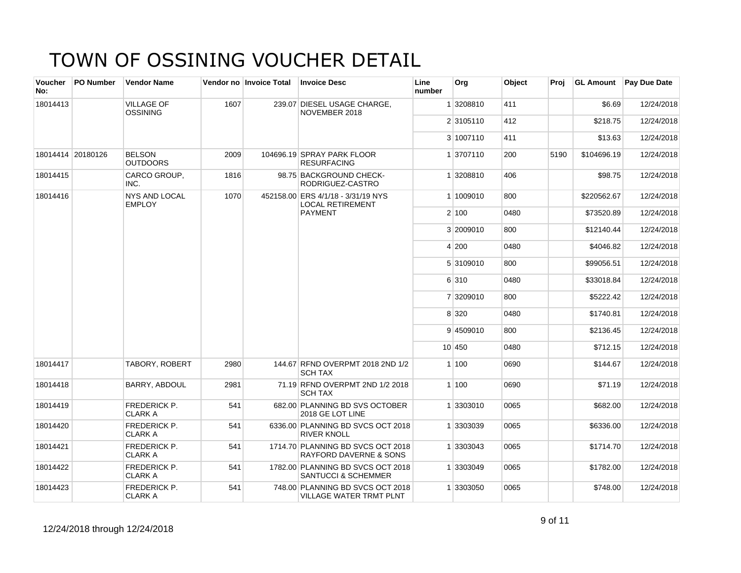| <b>Voucher</b><br>No: | <b>PO Number</b>  | <b>Vendor Name</b>                    |      | Vendor no Invoice Total | <b>Invoice Desc</b>                                                    | Line<br>number | Org       | Object | Proi | <b>GL Amount</b> | <b>Pay Due Date</b> |
|-----------------------|-------------------|---------------------------------------|------|-------------------------|------------------------------------------------------------------------|----------------|-----------|--------|------|------------------|---------------------|
| 18014413              |                   | <b>VILLAGE OF</b><br><b>OSSINING</b>  | 1607 |                         | 239.07 DIESEL USAGE CHARGE,<br>NOVEMBER 2018                           |                | 1 3208810 | 411    |      | \$6.69           | 12/24/2018          |
|                       |                   |                                       |      |                         |                                                                        |                | 2 3105110 | 412    |      | \$218.75         | 12/24/2018          |
|                       |                   |                                       |      |                         |                                                                        |                | 3 1007110 | 411    |      | \$13.63          | 12/24/2018          |
|                       | 18014414 20180126 | <b>BELSON</b><br><b>OUTDOORS</b>      | 2009 |                         | 104696.19 SPRAY PARK FLOOR<br><b>RESURFACING</b>                       |                | 1 3707110 | 200    | 5190 | \$104696.19      | 12/24/2018          |
| 18014415              |                   | CARCO GROUP,<br>INC.                  | 1816 |                         | 98.75 BACKGROUND CHECK-<br>RODRIGUEZ-CASTRO                            |                | 1 3208810 | 406    |      | \$98.75          | 12/24/2018          |
| 18014416              |                   | <b>NYS AND LOCAL</b><br><b>EMPLOY</b> | 1070 |                         | 452158.00 ERS 4/1/18 - 3/31/19 NYS<br><b>LOCAL RETIREMENT</b>          |                | 1 1009010 | 800    |      | \$220562.67      | 12/24/2018          |
|                       |                   |                                       |      |                         | <b>PAYMENT</b>                                                         |                | 2 100     | 0480   |      | \$73520.89       | 12/24/2018          |
|                       |                   |                                       |      |                         |                                                                        |                | 3 2009010 | 800    |      | \$12140.44       | 12/24/2018          |
|                       |                   |                                       |      |                         |                                                                        |                | 4 200     | 0480   |      | \$4046.82        | 12/24/2018          |
|                       |                   |                                       |      |                         |                                                                        |                | 5 3109010 | 800    |      | \$99056.51       | 12/24/2018          |
|                       |                   |                                       |      |                         |                                                                        |                | 6 310     | 0480   |      | \$33018.84       | 12/24/2018          |
|                       |                   |                                       |      |                         |                                                                        |                | 7 3209010 | 800    |      | \$5222.42        | 12/24/2018          |
|                       |                   |                                       |      |                         |                                                                        |                | 8 3 2 0   | 0480   |      | \$1740.81        | 12/24/2018          |
|                       |                   |                                       |      |                         |                                                                        |                | 9 4509010 | 800    |      | \$2136.45        | 12/24/2018          |
|                       |                   |                                       |      |                         |                                                                        |                | 10 450    | 0480   |      | \$712.15         | 12/24/2018          |
| 18014417              |                   | <b>TABORY, ROBERT</b>                 | 2980 |                         | 144.67 RFND OVERPMT 2018 2ND 1/2<br><b>SCH TAX</b>                     |                | 1 100     | 0690   |      | \$144.67         | 12/24/2018          |
| 18014418              |                   | <b>BARRY, ABDOUL</b>                  | 2981 |                         | 71.19 RFND OVERPMT 2ND 1/2 2018<br><b>SCH TAX</b>                      |                | 1100      | 0690   |      | \$71.19          | 12/24/2018          |
| 18014419              |                   | <b>FREDERICK P.</b><br><b>CLARK A</b> | 541  |                         | 682.00 PLANNING BD SVS OCTOBER<br>2018 GE LOT LINE                     |                | 1 3303010 | 0065   |      | \$682.00         | 12/24/2018          |
| 18014420              |                   | <b>FREDERICK P.</b><br><b>CLARK A</b> | 541  |                         | 6336.00 PLANNING BD SVCS OCT 2018<br><b>RIVER KNOLL</b>                |                | 1 3303039 | 0065   |      | \$6336.00        | 12/24/2018          |
| 18014421              |                   | <b>FREDERICK P.</b><br><b>CLARK A</b> | 541  |                         | 1714.70 PLANNING BD SVCS OCT 2018<br><b>RAYFORD DAVERNE &amp; SONS</b> |                | 1 3303043 | 0065   |      | \$1714.70        | 12/24/2018          |
| 18014422              |                   | <b>FREDERICK P.</b><br><b>CLARK A</b> | 541  |                         | 1782.00 PLANNING BD SVCS OCT 2018<br><b>SANTUCCI &amp; SCHEMMER</b>    |                | 1 3303049 | 0065   |      | \$1782.00        | 12/24/2018          |
| 18014423              |                   | <b>FREDERICK P.</b><br><b>CLARK A</b> | 541  |                         | 748.00 PLANNING BD SVCS OCT 2018<br>VILLAGE WATER TRMT PLNT            |                | 1 3303050 | 0065   |      | \$748.00         | 12/24/2018          |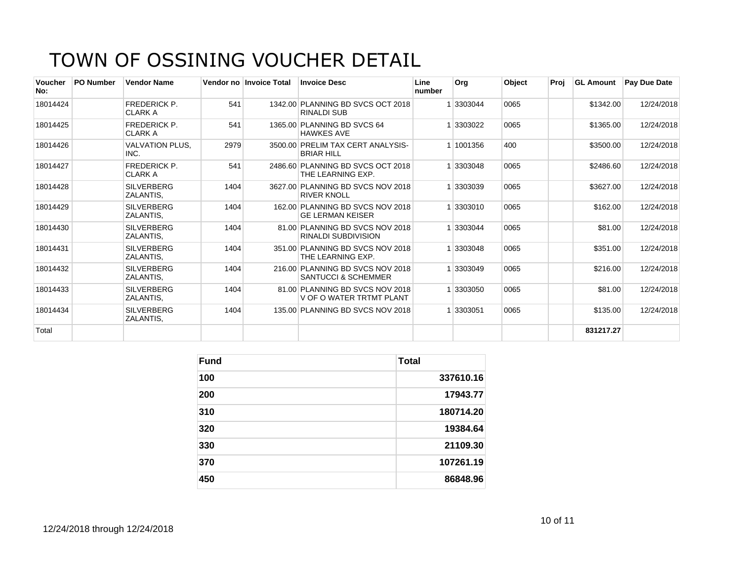| <b>Voucher</b><br>No: | <b>PO Number</b> | <b>Vendor Name</b>                    |      | Vendor no Invoice Total | <b>Invoice Desc</b>                                                | Line<br>number | <b>Org</b> | Object | Proj | <b>GL Amount</b> | <b>Pav Due Date</b> |
|-----------------------|------------------|---------------------------------------|------|-------------------------|--------------------------------------------------------------------|----------------|------------|--------|------|------------------|---------------------|
| 18014424              |                  | <b>FREDERICK P.</b><br><b>CLARK A</b> | 541  |                         | 1342.00 PLANNING BD SVCS OCT 2018<br><b>RINALDI SUB</b>            |                | 3303044    | 0065   |      | \$1342.00        | 12/24/2018          |
| 18014425              |                  | <b>FREDERICK P.</b><br><b>CLARK A</b> | 541  |                         | 1365.00 PLANNING BD SVCS 64<br><b>HAWKES AVE</b>                   |                | 3303022    | 0065   |      | \$1365.00        | 12/24/2018          |
| 18014426              |                  | <b>VALVATION PLUS,</b><br>INC.        | 2979 |                         | 3500.00 PRELIM TAX CERT ANALYSIS-<br><b>BRIAR HILL</b>             |                | 1 1001356  | 400    |      | \$3500.00        | 12/24/2018          |
| 18014427              |                  | <b>FREDERICK P.</b><br><b>CLARK A</b> | 541  |                         | 2486.60 PLANNING BD SVCS OCT 2018<br>THE LEARNING EXP.             |                | 3303048    | 0065   |      | \$2486.60        | 12/24/2018          |
| 18014428              |                  | <b>SILVERBERG</b><br>ZALANTIS,        | 1404 |                         | 3627.00 PLANNING BD SVCS NOV 2018<br><b>RIVER KNOLL</b>            |                | 3303039    | 0065   |      | \$3627.00        | 12/24/2018          |
| 18014429              |                  | <b>SILVERBERG</b><br>ZALANTIS,        | 1404 |                         | 162.00 PLANNING BD SVCS NOV 2018<br><b>GE LERMAN KEISER</b>        |                | 3303010    | 0065   |      | \$162.00         | 12/24/2018          |
| 18014430              |                  | <b>SILVERBERG</b><br>ZALANTIS.        | 1404 |                         | 81.00 PLANNING BD SVCS NOV 2018<br>RINALDI SUBDIVISION             |                | 3303044    | 0065   |      | \$81.00          | 12/24/2018          |
| 18014431              |                  | <b>SILVERBERG</b><br>ZALANTIS,        | 1404 |                         | 351.00 PLANNING BD SVCS NOV 2018<br>THE LEARNING EXP.              |                | 3303048    | 0065   |      | \$351.00         | 12/24/2018          |
| 18014432              |                  | <b>SILVERBERG</b><br>ZALANTIS.        | 1404 |                         | 216.00 PLANNING BD SVCS NOV 2018<br><b>SANTUCCI &amp; SCHEMMER</b> |                | 3303049    | 0065   |      | \$216.00         | 12/24/2018          |
| 18014433              |                  | <b>SILVERBERG</b><br>ZALANTIS,        | 1404 |                         | 81.00 PLANNING BD SVCS NOV 2018<br>V OF O WATER TRTMT PLANT        |                | 3303050    | 0065   |      | \$81.00          | 12/24/2018          |
| 18014434              |                  | <b>SILVERBERG</b><br>ZALANTIS.        | 1404 |                         | 135.00 PLANNING BD SVCS NOV 2018                                   |                | 3303051    | 0065   |      | \$135.00         | 12/24/2018          |
| Total                 |                  |                                       |      |                         |                                                                    |                |            |        |      | 831217.27        |                     |

| <b>Fund</b> | <b>Total</b> |
|-------------|--------------|
| 100         | 337610.16    |
| 200         | 17943.77     |
| 310         | 180714.20    |
| 320         | 19384.64     |
| 330         | 21109.30     |
| 370         | 107261.19    |
| 450         | 86848.96     |